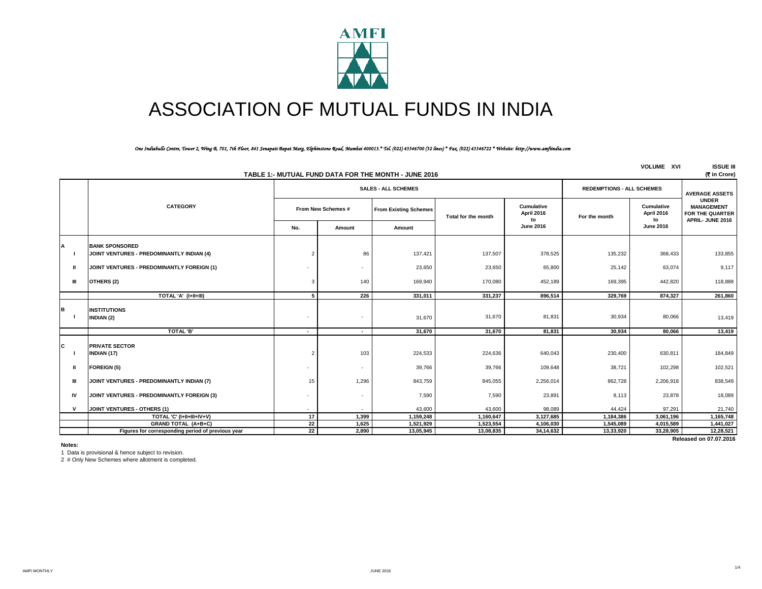

# ASSOCIATION OF MUTUAL FUNDS IN INDIA

## *One Indiabulls Centre, Tower 2, Wing B, 701, 7th Floor, 841 Senapati Bapat Marg, Elphinstone Road, Mumbai 400013.\* Tel. (022) 43346700 (32 lines) \* Fax. (022) 43346722 \* Website: http://www.amfiindia.com*

| <b>VOLUME XVI</b><br>TABLE 1:- MUTUAL FUND DATA FOR THE MONTH - JUNE 2016 |                                                                    |                |                                                                |                              |                     |                                |               |                                |                                                                         |
|---------------------------------------------------------------------------|--------------------------------------------------------------------|----------------|----------------------------------------------------------------|------------------------------|---------------------|--------------------------------|---------------|--------------------------------|-------------------------------------------------------------------------|
|                                                                           |                                                                    |                | <b>SALES - ALL SCHEMES</b><br><b>REDEMPTIONS - ALL SCHEMES</b> |                              |                     |                                |               |                                | <b>AVERAGE ASSETS</b>                                                   |
|                                                                           | <b>CATEGORY</b>                                                    |                | From New Schemes #                                             | <b>From Existing Schemes</b> | Total for the month | Cumulative<br>April 2016<br>to | For the month | Cumulative<br>April 2016<br>to | <b>UNDER</b><br><b>MANAGEMENT</b><br>FOR THE QUARTER<br>APRIL-JUNE 2016 |
|                                                                           |                                                                    | No.            | Amount                                                         | Amount                       |                     | <b>June 2016</b>               |               | <b>June 2016</b>               |                                                                         |
| А                                                                         | <b>BANK SPONSORED</b><br>JOINT VENTURES - PREDOMINANTLY INDIAN (4) | $\overline{2}$ | 86                                                             | 137,421                      | 137,507             | 378,525                        | 135,232       | 368,433                        | 133,855                                                                 |
| Ш                                                                         | JOINT VENTURES - PREDOMINANTLY FOREIGN (1)                         |                |                                                                | 23,650                       | 23,650              | 65,800                         | 25,142        | 63,074                         | 9,117                                                                   |
| Ш                                                                         | OTHERS (2)                                                         | 3              | 140                                                            | 169,940                      | 170,080             | 452,189                        | 169,395       | 442,820                        | 118,888                                                                 |
|                                                                           | TOTAL 'A' (I+II+III)                                               | 5 <sub>1</sub> | 226                                                            | 331.011                      | 331.237             | 896.514                        | 329.769       | 874,327                        | 261,860                                                                 |
| в                                                                         | <b>INSTITUTIONS</b><br><b>INDIAN (2)</b>                           | ٠              |                                                                | 31,670                       | 31,670              | 81,831                         | 30,934        | 80,066                         | 13,419                                                                  |
|                                                                           | TOTAL 'B'                                                          | $\sim$         | $\sim$                                                         | 31.670                       | 31.670              | 81.831                         | 30.934        | 80.066                         | 13,419                                                                  |
| C                                                                         | <b>PRIVATE SECTOR</b><br>INDIAN (17)                               | $\overline{2}$ | 103                                                            | 224,533                      | 224,636             | 640,043                        | 230,400       | 630,811                        | 184,849                                                                 |
| Ш                                                                         | <b>FOREIGN (5)</b>                                                 | ٠              | ٠                                                              | 39,766                       | 39,766              | 109,648                        | 38,721        | 102,298                        | 102,521                                                                 |
| Ш                                                                         | JOINT VENTURES - PREDOMINANTLY INDIAN (7)                          | 15             | 1,296                                                          | 843,759                      | 845,055             | 2,256,014                      | 862,728       | 2,206,918                      | 838,549                                                                 |
| IV                                                                        | JOINT VENTURES - PREDOMINANTLY FOREIGN (3)                         | ٠              | ٠                                                              | 7,590                        | 7,590               | 23,891                         | 8,113         | 23,878                         | 18,089                                                                  |
| $\mathbf v$                                                               | <b>JOINT VENTURES - OTHERS (1)</b>                                 |                |                                                                | 43,600                       | 43,600              | 98,089                         | 44,424        | 97,291                         | 21,740                                                                  |
|                                                                           | TOTAL 'C' (I+II+III+IV+V)                                          | 17             | 1,399                                                          | 1,159,248                    | 1,160,647           | 3,127,685                      | 1,184,386     | 3,061,196                      | 1,165,748                                                               |
|                                                                           | GRAND TOTAL (A+B+C)                                                | 22             | 1,625                                                          | 1,521,929                    | 1,523,554           | 4,106,030                      | 1,545,089     | 4,015,589                      | 1,441,027                                                               |
|                                                                           | Figures for corresponding period of previous year                  | 22             | 2,890                                                          | 13,05,945                    | 13,08,835           | 34,14,632                      | 13,33,920     | 33,28,905                      | 12,28,521                                                               |
|                                                                           | Released on 07.07.2016                                             |                |                                                                |                              |                     |                                |               |                                |                                                                         |

**Notes:**

1 Data is provisional & hence subject to revision.

2 # Only New Schemes where allotment is completed.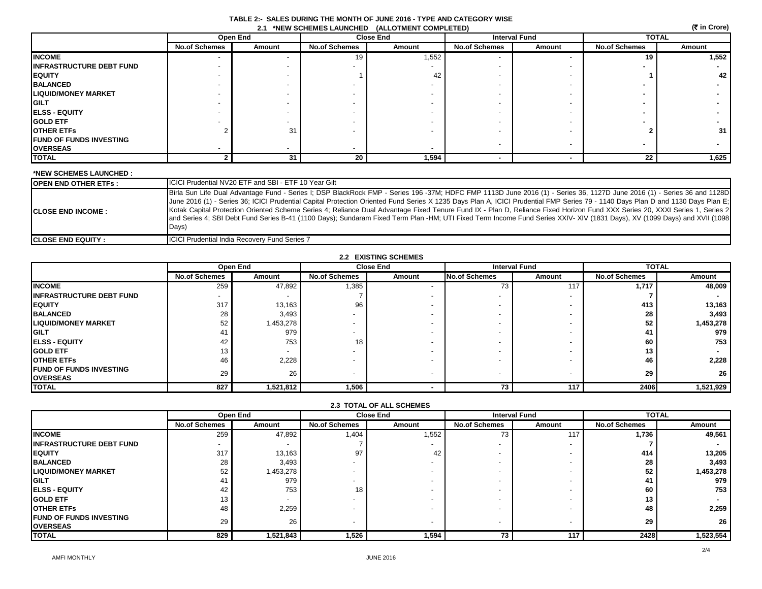## **TABLE 2:- SALES DURING THE MONTH OF JUNE 2016 - TYPE AND CATEGORY WISE 2.1 \*NEW SCHEMES LAUNCHED (ALLOTMENT COMPLETED)**

| (रैं in Crore)<br><b>2.1 *NEW SCHEMES LAUNCHED</b><br>(ALLOTMENT COMPLETED) |                      |          |                          |                  |                      |                      |                      |        |
|-----------------------------------------------------------------------------|----------------------|----------|--------------------------|------------------|----------------------|----------------------|----------------------|--------|
|                                                                             |                      | Open End |                          | <b>Close End</b> |                      | <b>Interval Fund</b> | <b>TOTAL</b>         |        |
|                                                                             | <b>No.of Schemes</b> | Amount   | <b>No.of Schemes</b>     | Amount           | <b>No.of Schemes</b> | Amount               | <b>No.of Schemes</b> | Amount |
| <b>INCOME</b>                                                               |                      |          | 19                       | 1,552            |                      |                      | 19                   | 1,552  |
| <b>INFRASTRUCTURE DEBT FUND</b>                                             |                      |          |                          |                  |                      |                      |                      |        |
| <b>EQUITY</b>                                                               |                      |          |                          | 42               |                      |                      |                      | 42     |
| <b>BALANCED</b>                                                             |                      |          |                          |                  |                      |                      |                      |        |
| <b>LIQUID/MONEY MARKET</b>                                                  |                      |          |                          |                  |                      |                      |                      |        |
| <b>GILT</b>                                                                 |                      |          |                          |                  |                      |                      |                      |        |
| <b>IELSS - EQUITY</b>                                                       |                      |          |                          |                  |                      |                      |                      |        |
| <b>GOLD ETF</b>                                                             |                      |          |                          |                  |                      |                      |                      |        |
| <b>OTHER ETFS</b>                                                           |                      | 31       |                          |                  |                      |                      |                      | 31     |
| <b>FUND OF FUNDS INVESTING</b>                                              |                      |          |                          |                  |                      |                      |                      |        |
| <b>OVERSEAS</b>                                                             |                      |          | $\overline{\phantom{0}}$ |                  |                      |                      |                      |        |
| <b>TOTAL</b>                                                                |                      | 31       | 20                       | 1,594            |                      |                      | 22                   | 1,625  |

## **\*NEW SCHEMES LAUNCHED :**

| <b>OPEN END OTHER ETFs :</b> | <b>ICICI Prudential NV20 ETF and SBI - ETF 10 Year Gilt</b>                                                                                                                                                                                                                                                                                                                                                                                                                                                                                                                                                                                                                                                                      |
|------------------------------|----------------------------------------------------------------------------------------------------------------------------------------------------------------------------------------------------------------------------------------------------------------------------------------------------------------------------------------------------------------------------------------------------------------------------------------------------------------------------------------------------------------------------------------------------------------------------------------------------------------------------------------------------------------------------------------------------------------------------------|
| <b>CLOSE END INCOME :</b>    | Birla Sun Life Dual Advantage Fund - Series I; DSP BlackRock FMP - Series 196 -37M; HDFC FMP 1113D June 2016 (1) - Series 36, 1127D June 2016 (1) - Series 36 and 1128D<br>June 2016 (1) - Series 36; ICICI Prudential Capital Protection Oriented Fund Series X 1235 Days Plan A, ICICI Prudential FMP Series 79 - 1140 Days Plan D and 1130 Days Plan E;<br>Kotak Capital Protection Oriented Scheme Series 4; Reliance Dual Advantage Fixed Tenure Fund IX - Plan D, Reliance Fixed Horizon Fund XXX Series 20, XXXI Series 1, Series 2<br>and Series 4; SBI Debt Fund Series B-41 (1100 Days); Sundaram Fixed Term Plan -HM; UTI Fixed Term Income Fund Series XXIV- XIV (1831 Days), XV (1099 Days) and XVII (1098<br>Days) |
| <b>ICLOSE END EQUITY :</b>   | <b>ICICI Prudential India Recovery Fund Series 7</b>                                                                                                                                                                                                                                                                                                                                                                                                                                                                                                                                                                                                                                                                             |

| <b>2.2 EXISTING SCHEMES</b>      |                          |                          |                          |                  |                          |                      |                      |              |  |
|----------------------------------|--------------------------|--------------------------|--------------------------|------------------|--------------------------|----------------------|----------------------|--------------|--|
|                                  |                          | Open End                 |                          | <b>Close End</b> |                          | <b>Interval Fund</b> |                      | <b>TOTAL</b> |  |
|                                  | <b>No.of Schemes</b>     | Amount                   | <b>No.of Schemes</b>     | Amount           | <b>No.of Schemes</b>     | Amount               | <b>No.of Schemes</b> | Amount       |  |
| <b>INCOME</b>                    | 259                      | 47,892                   | 1,385                    |                  | 73                       | 117                  | 1,717                | 48,009       |  |
| <b>IINFRASTRUCTURE DEBT FUND</b> | $\overline{\phantom{0}}$ |                          |                          |                  |                          |                      |                      |              |  |
| <b>IEQUITY</b>                   | 317                      | 13,163                   | 96                       |                  |                          |                      | 413                  | 13,163       |  |
| <b>BALANCED</b>                  | 28                       | 3,493                    |                          |                  |                          |                      | 28                   | 3,493        |  |
| <b>LIQUID/MONEY MARKET</b>       | 52                       | 1,453,278                |                          |                  |                          |                      | 52                   | 1,453,278    |  |
| <b>IGILT</b>                     | 4                        | 979                      |                          |                  |                          |                      | 41                   | 979          |  |
| <b>IELSS - EQUITY</b>            | 42                       | 753                      | 18                       |                  |                          |                      | 60                   | 753          |  |
| <b>IGOLD ETF</b>                 | 13                       | $\overline{\phantom{a}}$ | $\overline{\phantom{0}}$ |                  | $\overline{\phantom{a}}$ |                      | 13 <sub>1</sub>      |              |  |
| <b>OTHER ETFS</b>                | 46                       | 2,228                    | $\overline{\phantom{0}}$ |                  |                          |                      | 46                   | 2,228        |  |
| <b>IFUND OF FUNDS INVESTING</b>  | 29                       | 26                       | $\overline{\phantom{0}}$ |                  | $\overline{\phantom{a}}$ |                      | 29                   | 26           |  |
| <b>OVERSEAS</b>                  |                          |                          |                          |                  |                          |                      |                      |              |  |
| <b>TOTAL</b>                     | 827                      | 1,521,812                | 1,506                    |                  | 73                       | 117                  | 2406                 | 1,521,929    |  |

| <b>2.3 TOTAL OF ALL SCHEMES</b>                    |                      |           |                      |                  |                      |                          |                      |              |  |
|----------------------------------------------------|----------------------|-----------|----------------------|------------------|----------------------|--------------------------|----------------------|--------------|--|
|                                                    |                      | Open End  |                      | <b>Close End</b> |                      | <b>Interval Fund</b>     |                      | <b>TOTAL</b> |  |
|                                                    | <b>No.of Schemes</b> | Amount    | <b>No.of Schemes</b> | Amount           | <b>No.of Schemes</b> | Amount                   | <b>No.of Schemes</b> | Amount       |  |
| <b>INCOME</b>                                      | 259                  | 47,892    | 1,404                | 1,552            | 73                   | 117                      | 1.736                | 49,561       |  |
| <b>INFRASTRUCTURE DEBT FUND</b>                    |                      |           |                      |                  |                      |                          |                      |              |  |
| <b>EQUITY</b>                                      | 317                  | 13,163    | 97                   | 42               |                      |                          | 414                  | 13,205       |  |
| <b>BALANCED</b>                                    | 28                   | 3,493     |                      |                  |                      | $\overline{\phantom{a}}$ | 28                   | 3,493        |  |
| <b>LIQUID/MONEY MARKET</b>                         | 52                   | 1,453,278 |                      |                  |                      | $\overline{\phantom{a}}$ | 52                   | 1,453,278    |  |
| <b>IGILT</b>                                       | 41                   | 979       |                      |                  |                      |                          | 41                   | 979          |  |
| <b>IELSS - EQUITY</b>                              | 42                   | 753       | 18                   |                  |                      | $\overline{\phantom{a}}$ | 60                   | 753          |  |
| <b>GOLD ETF</b>                                    | 13                   |           |                      |                  |                      |                          | 13                   |              |  |
| <b>OTHER ETFS</b>                                  | 48                   | 2,259     |                      |                  |                      |                          | 48                   | 2,259        |  |
| <b>IFUND OF FUNDS INVESTING</b><br><b>OVERSEAS</b> | 29                   | 26        |                      |                  |                      | $\overline{\phantom{a}}$ | 29                   | 26           |  |
| <b>TOTAL</b>                                       | 829                  | 1,521,843 | 1,526                | 1,594            | 73                   | 117                      | 2428                 | 1,523,554    |  |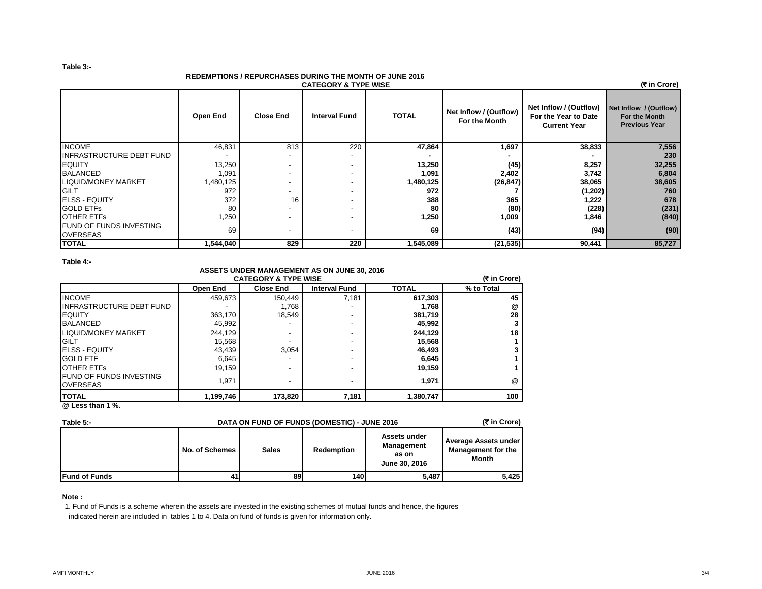#### **Table 3:-**

## **REDEMPTIONS / REPURCHASES DURING THE MONTH OF JUNE 2016**

| <u>REDEMETIONS / REFURSIASES DURING THE MONTH OF JUNE ZUTV</u><br>(₹ in Crore)<br><b>CATEGORY &amp; TYPE WISE</b> |           |                          |                          |              |                                         |                                                                       |                                                                 |  |
|-------------------------------------------------------------------------------------------------------------------|-----------|--------------------------|--------------------------|--------------|-----------------------------------------|-----------------------------------------------------------------------|-----------------------------------------------------------------|--|
|                                                                                                                   | Open End  | <b>Close End</b>         | <b>Interval Fund</b>     | <b>TOTAL</b> | Net Inflow / (Outflow)<br>For the Month | Net Inflow / (Outflow)<br>For the Year to Date<br><b>Current Year</b> | Net Inflow / (Outflow)<br>For the Month<br><b>Previous Year</b> |  |
| <b>INCOME</b>                                                                                                     | 46,831    | 813                      | 220                      | 47,864       | 1,697                                   | 38,833                                                                | 7,556                                                           |  |
| <b>INFRASTRUCTURE DEBT FUND</b>                                                                                   |           |                          |                          |              |                                         |                                                                       | 230                                                             |  |
| <b>EQUITY</b>                                                                                                     | 13,250    |                          | $\overline{\phantom{a}}$ | 13,250       | (45)                                    | 8,257                                                                 | 32,255                                                          |  |
| <b>BALANCED</b>                                                                                                   | 1,091     | $\overline{\phantom{a}}$ | $\overline{\phantom{a}}$ | 1,091        | 2,402                                   | 3,742                                                                 | 6,804                                                           |  |
| <b>LIQUID/MONEY MARKET</b>                                                                                        | 1,480,125 |                          |                          | 1,480,125    | (26, 847)                               | 38,065                                                                | 38,605                                                          |  |
| GILT                                                                                                              | 972       | -                        | $\overline{\phantom{a}}$ | 972          |                                         | (1,202)                                                               | 760                                                             |  |
| <b>ELSS - EQUITY</b>                                                                                              | 372       | 16                       | $\blacksquare$           | 388          | 365                                     | 1,222                                                                 | 678                                                             |  |
| <b>GOLD ETFS</b>                                                                                                  | 80        | $\overline{\phantom{0}}$ | $\overline{\phantom{a}}$ | 80           | (80)                                    | (228)                                                                 | (231)                                                           |  |
| <b>OTHER ETFS</b>                                                                                                 | 1,250     | $\overline{\phantom{a}}$ |                          | 1,250        | 1,009                                   | 1,846                                                                 | (840)                                                           |  |
| <b>FUND OF FUNDS INVESTING</b><br><b>OVERSEAS</b>                                                                 | 69        | $\overline{\phantom{a}}$ | $\blacksquare$           | 69           | (43)                                    | (94)                                                                  | (90)                                                            |  |
| <b>TOTAL</b>                                                                                                      | 1,544,040 | 829                      | 220                      | 1,545,089    | (21, 535)                               | 90,441                                                                | 85,727                                                          |  |

## **Table 4:-**

## **ASSETS UNDER MANAGEMENT AS ON JUNE 30, 2016 CATEGORY & TYPE WISE**

| <b>CATEGORY &amp; TYPE WISE</b>                   |           |                  |                          |              |            |  |  |
|---------------------------------------------------|-----------|------------------|--------------------------|--------------|------------|--|--|
|                                                   | Open End  | <b>Close End</b> | <b>Interval Fund</b>     | <b>TOTAL</b> | % to Total |  |  |
| <b>INCOME</b>                                     | 459,673   | 150.449          | 7,181                    | 617,303      | 45         |  |  |
| <b>INFRASTRUCTURE DEBT FUND</b>                   |           | 1.768            |                          | 1,768        | @          |  |  |
| <b>EQUITY</b>                                     | 363.170   | 18,549           | $\overline{\phantom{0}}$ | 381,719      | 28         |  |  |
| <b>BALANCED</b>                                   | 45,992    |                  | $\overline{\phantom{0}}$ | 45,992       | 3          |  |  |
| <b>LIQUID/MONEY MARKET</b>                        | 244.129   | -                | -                        | 244,129      | 18         |  |  |
| <b>GILT</b>                                       | 15,568    |                  |                          | 15,568       |            |  |  |
| <b>ELSS - EQUITY</b>                              | 43,439    | 3.054            |                          | 46,493       |            |  |  |
| <b>GOLD ETF</b>                                   | 6,645     |                  |                          | 6,645        |            |  |  |
| <b>OTHER ETFS</b>                                 | 19.159    | -                | $\overline{\phantom{0}}$ | 19,159       |            |  |  |
| <b>FUND OF FUNDS INVESTING</b><br><b>OVERSEAS</b> | 1.971     | -                | $\overline{\phantom{a}}$ | 1,971        | @          |  |  |
| <b>TOTAL</b>                                      | 1,199,746 | 173,820          | 7,181                    | 1,380,747    | 100        |  |  |

**@ Less than 1 %.**

| (₹ in Crore)<br>DATA ON FUND OF FUNDS (DOMESTIC) - JUNE 2016<br>Table 5:- |                |              |                   |                                                             |                                                                   |
|---------------------------------------------------------------------------|----------------|--------------|-------------------|-------------------------------------------------------------|-------------------------------------------------------------------|
|                                                                           | No. of Schemes | <b>Sales</b> | <b>Redemption</b> | Assets under<br><b>Management</b><br>as on<br>June 30, 2016 | <b>Average Assets under</b><br><b>Management for the</b><br>Month |
| <b>Fund of Funds</b>                                                      | 41             | 89           | <b>140</b>        | 5.487                                                       | 5,425                                                             |

## **Note :**

1. Fund of Funds is a scheme wherein the assets are invested in the existing schemes of mutual funds and hence, the figures indicated herein are included in tables 1 to 4. Data on fund of funds is given for information only.